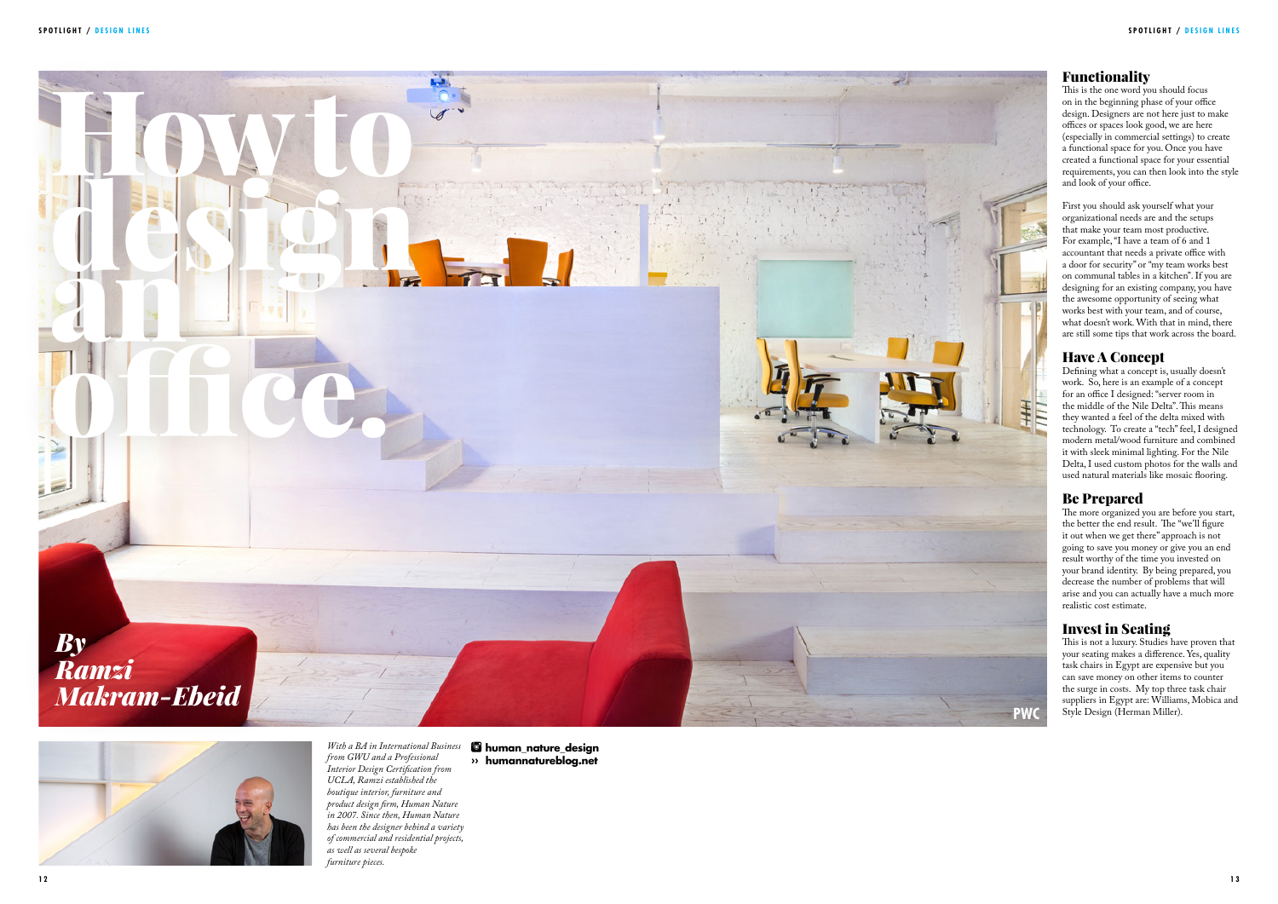## Functionality

This is the one word you should focus on in the beginning phase of your office design. Designers are not here just to make offices or spaces look good, we are here (especially in commercial settings) to create a functional space for you. Once you have created a functional space for your essential requirements, you can then look into the style and look of your office.

First you should ask yourself what your organizational needs are and the setups that make your team most productive. For example, "I have a team of 6 and 1 accountant that needs a private office with a door for security" or "my team works best on communal tables in a kitchen". If you are designing for an existing company, you have the awesome opportunity of seeing what works best with your team, and of course, what doesn't work. With that in mind, there are still some tips that work across the board.

### Have A Concept

Defining what a concept is, usually doesn't work. So, here is an example of a concept for an office I designed: "server room in the middle of the Nile Delta". This means they wanted a feel of the delta mixed with technology. To create a "tech" feel, I designed modern metal/wood furniture and combined it with sleek minimal lighting. For the Nile Delta, I used custom photos for the walls and used natural materials like mosaic flooring.

## Be Prepared

The more organized you are before you start, the better the end result. The "we'll figure it out when we get there" approach is not going to save you money or give you an end result worthy of the time you invested on your brand identity. By being prepared, you decrease the number of problems that will arise and you can actually have a much more realistic cost estimate.

### Invest in Seating

This is not a luxury. Studies have proven that your seating makes a difference. Yes, quality task chairs in Egypt are expensive but you can save money on other items to counter the surge in costs. My top three task chair suppliers in Egypt are: Williams, Mobica and Style Design (Herman Miller).

#### *With a BA in International Business from GWU and a Professional Interior Design Certification from UCLA, Ramzi established the boutique interior, furniture and product design firm, Human Nature in 2007. Since then, Human Nature has been the designer behind a variety of commercial and residential projects, as well as several bespoke furniture pieces.*





 **human\_nature\_design ›› humannatureblog.net**